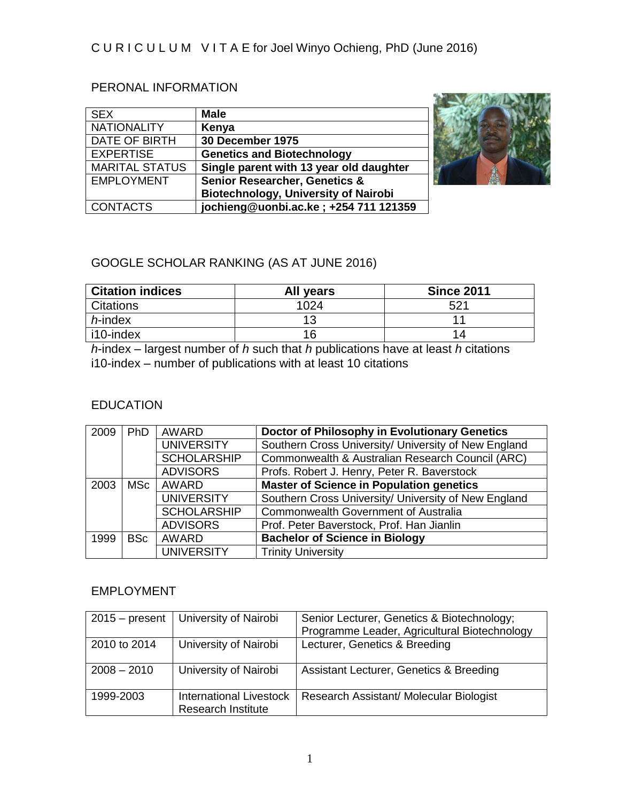# PERONAL INFORMATION

| <b>SEX</b>            | <b>Male</b>                                 |
|-----------------------|---------------------------------------------|
| <b>NATIONALITY</b>    | Kenya                                       |
| DATE OF BIRTH         | 30 December 1975                            |
| <b>EXPERTISE</b>      | <b>Genetics and Biotechnology</b>           |
| <b>MARITAL STATUS</b> | Single parent with 13 year old daughter     |
| <b>EMPLOYMENT</b>     | <b>Senior Researcher, Genetics &amp;</b>    |
|                       | <b>Biotechnology, University of Nairobi</b> |
| <b>CONTACTS</b>       | jochieng@uonbi.ac.ke; +254 711 121359       |



# GOOGLE SCHOLAR RANKING (AS AT JUNE 2016)

| <b>Citation indices</b> | All years | <b>Since 2011</b> |
|-------------------------|-----------|-------------------|
| <b>Citations</b>        | 1024      | 521               |
| $h$ -index              | 12        |                   |
| i10-index               |           | 14                |

*h*-index – largest number of *h* such that *h* publications have at least *h* citations i10-index – number of publications with at least 10 citations

# EDUCATION

| 2009 | <b>PhD</b>                 | <b>AWARD</b>       | Doctor of Philosophy in Evolutionary Genetics        |
|------|----------------------------|--------------------|------------------------------------------------------|
|      |                            | <b>UNIVERSITY</b>  | Southern Cross University/ University of New England |
|      |                            | <b>SCHOLARSHIP</b> | Commonwealth & Australian Research Council (ARC)     |
|      |                            | <b>ADVISORS</b>    | Profs. Robert J. Henry, Peter R. Baverstock          |
| 2003 | <b>AWARD</b><br><b>MSc</b> |                    | <b>Master of Science in Population genetics</b>      |
|      |                            | <b>UNIVERSITY</b>  | Southern Cross University/ University of New England |
|      |                            | <b>SCHOLARSHIP</b> | Commonwealth Government of Australia                 |
|      |                            | <b>ADVISORS</b>    | Prof. Peter Baverstock, Prof. Han Jianlin            |
| 1999 | <b>BSc</b>                 | <b>AWARD</b>       | <b>Bachelor of Science in Biology</b>                |
|      |                            | <b>UNIVERSITY</b>  | <b>Trinity University</b>                            |

# EMPLOYMENT

| $2015 - present$ | University of Nairobi                                | Senior Lecturer, Genetics & Biotechnology;<br>Programme Leader, Agricultural Biotechnology |
|------------------|------------------------------------------------------|--------------------------------------------------------------------------------------------|
| 2010 to 2014     | University of Nairobi                                | Lecturer, Genetics & Breeding                                                              |
| $2008 - 2010$    | University of Nairobi                                | Assistant Lecturer, Genetics & Breeding                                                    |
| 1999-2003        | International Livestock<br><b>Research Institute</b> | Research Assistant/ Molecular Biologist                                                    |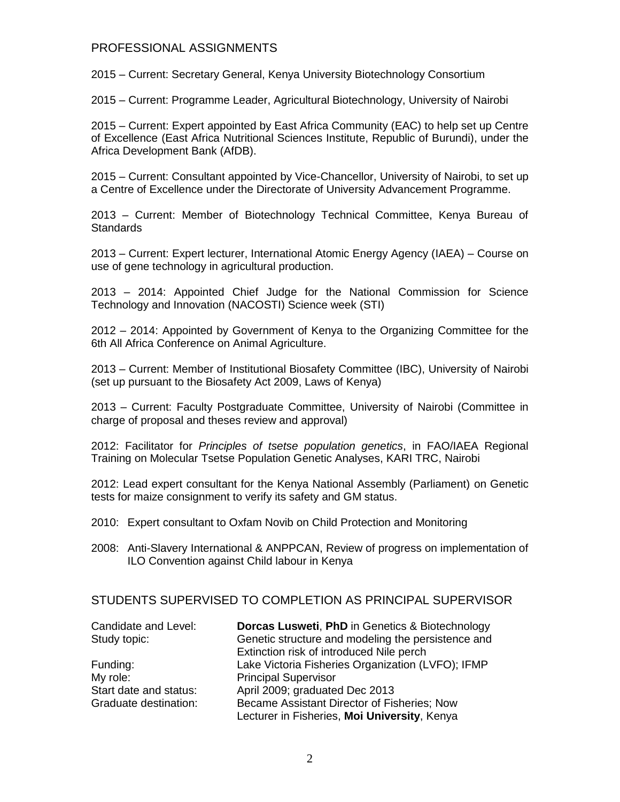#### PROFESSIONAL ASSIGNMENTS

2015 – Current: Secretary General, Kenya University Biotechnology Consortium

2015 – Current: Programme Leader, Agricultural Biotechnology, University of Nairobi

2015 – Current: Expert appointed by East Africa Community (EAC) to help set up Centre of Excellence (East Africa Nutritional Sciences Institute, Republic of Burundi), under the Africa Development Bank (AfDB).

2015 – Current: Consultant appointed by Vice-Chancellor, University of Nairobi, to set up a Centre of Excellence under the Directorate of University Advancement Programme.

2013 – Current: Member of Biotechnology Technical Committee, Kenya Bureau of **Standards** 

2013 – Current: Expert lecturer, International Atomic Energy Agency (IAEA) – Course on use of gene technology in agricultural production.

2013 – 2014: Appointed Chief Judge for the National Commission for Science Technology and Innovation (NACOSTI) Science week (STI)

2012 – 2014: Appointed by Government of Kenya to the Organizing Committee for the 6th All Africa Conference on Animal Agriculture.

2013 – Current: Member of Institutional Biosafety Committee (IBC), University of Nairobi (set up pursuant to the Biosafety Act 2009, Laws of Kenya)

2013 – Current: Faculty Postgraduate Committee, University of Nairobi (Committee in charge of proposal and theses review and approval)

2012: Facilitator for *Principles of tsetse population genetics*, in FAO/IAEA Regional Training on Molecular Tsetse Population Genetic Analyses, KARI TRC, Nairobi

2012: Lead expert consultant for the Kenya National Assembly (Parliament) on Genetic tests for maize consignment to verify its safety and GM status.

- 2010: Expert consultant to Oxfam Novib on Child Protection and Monitoring
- 2008: Anti-Slavery International & ANPPCAN, Review of progress on implementation of ILO Convention against Child labour in Kenya

### STUDENTS SUPERVISED TO COMPLETION AS PRINCIPAL SUPERVISOR

| Candidate and Level:   | <b>Dorcas Lusweti, PhD in Genetics &amp; Biotechnology</b> |
|------------------------|------------------------------------------------------------|
| Study topic:           | Genetic structure and modeling the persistence and         |
|                        | Extinction risk of introduced Nile perch                   |
| Funding:               | Lake Victoria Fisheries Organization (LVFO); IFMP          |
| My role:               | <b>Principal Supervisor</b>                                |
| Start date and status: | April 2009; graduated Dec 2013                             |
| Graduate destination:  | Became Assistant Director of Fisheries; Now                |
|                        | Lecturer in Fisheries, Moi University, Kenya               |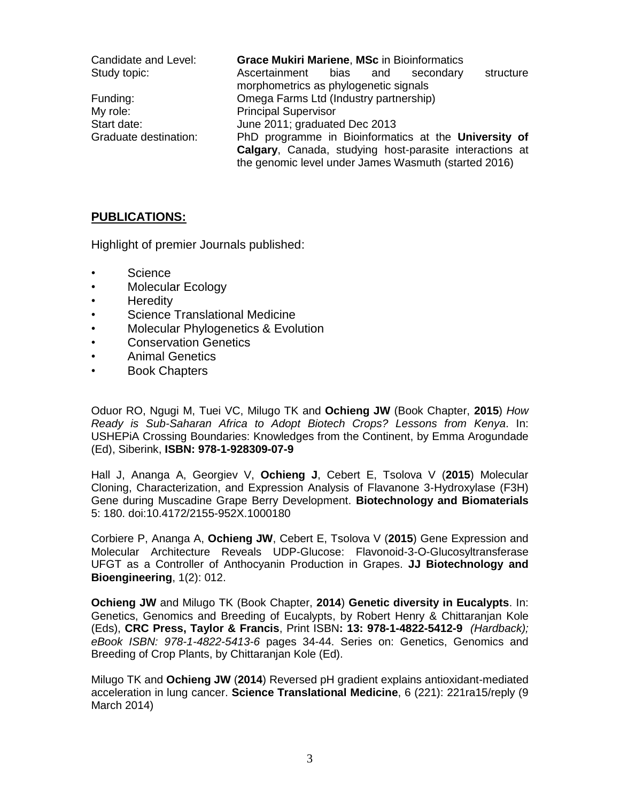| Candidate and Level:  | <b>Grace Mukiri Mariene, MSc in Bioinformatics</b>      |
|-----------------------|---------------------------------------------------------|
| Study topic:          | Ascertainment<br>structure<br>bias and<br>secondary     |
|                       | morphometrics as phylogenetic signals                   |
| Funding:              | Omega Farms Ltd (Industry partnership)                  |
| My role:              | <b>Principal Supervisor</b>                             |
| Start date:           | June 2011; graduated Dec 2013                           |
| Graduate destination: | PhD programme in Bioinformatics at the University of    |
|                       | Calgary, Canada, studying host-parasite interactions at |
|                       | the genomic level under James Wasmuth (started 2016)    |

### **PUBLICATIONS:**

Highlight of premier Journals published:

- **Science**
- Molecular Ecology
- Heredity
- Science Translational Medicine
- Molecular Phylogenetics & Evolution
- Conservation Genetics
- Animal Genetics
- Book Chapters

Oduor RO, Ngugi M, Tuei VC, Milugo TK and **Ochieng JW** (Book Chapter, **2015**) *How Ready is Sub-Saharan Africa to Adopt Biotech Crops? Lessons from Kenya*. In: USHEPiA Crossing Boundaries: Knowledges from the Continent, by Emma Arogundade (Ed), Siberink, **ISBN: 978-1-928309-07-9**

Hall J, Ananga A, Georgiev V, **Ochieng J**, Cebert E, Tsolova V (**2015**) Molecular Cloning, Characterization, and Expression Analysis of Flavanone 3-Hydroxylase (F3H) Gene during Muscadine Grape Berry Development. **Biotechnology and Biomaterials** 5: 180. doi:10.4172/2155-952X.1000180

Corbiere P, Ananga A, **Ochieng JW**, Cebert E, Tsolova V (**2015**) Gene Expression and Molecular Architecture Reveals UDP-Glucose: Flavonoid-3-O-Glucosyltransferase UFGT as a Controller of Anthocyanin Production in Grapes. **JJ Biotechnology and Bioengineering**, 1(2): 012.

**Ochieng JW** and Milugo TK (Book Chapter, **2014**) **Genetic diversity in Eucalypts**. In: Genetics, Genomics and Breeding of Eucalypts, by Robert Henry & Chittaranjan Kole (Eds), **CRC Press, Taylor & Francis**, Print ISBN**: 13: 978-1-4822-5412-9** *(Hardback); eBook ISBN: 978-1-4822-5413-6* pages 34-44. Series on: Genetics, Genomics and Breeding of Crop Plants, by Chittaranjan Kole (Ed).

Milugo TK and **Ochieng JW** (**2014**) Reversed pH gradient explains antioxidant-mediated acceleration in lung cancer. **Science Translational Medicine**, 6 (221): 221ra15/reply (9 March 2014)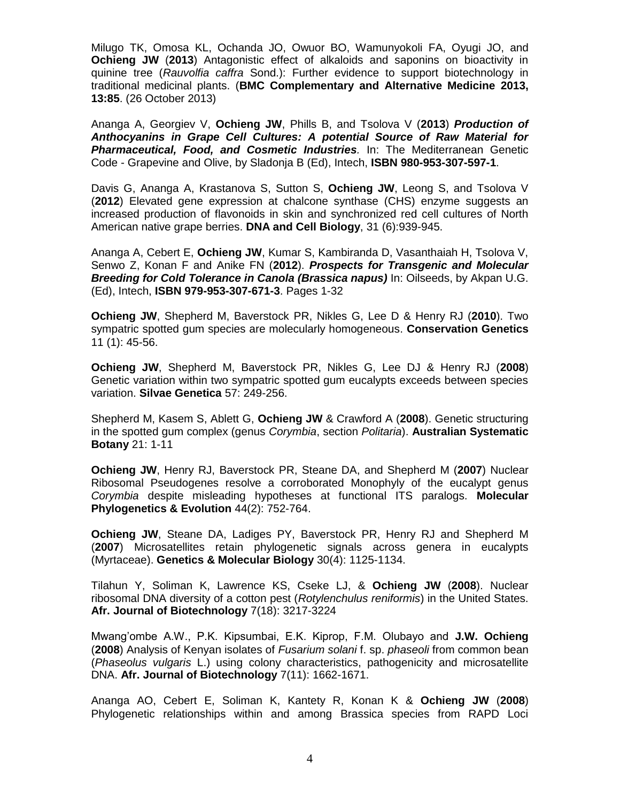Milugo TK, Omosa KL, Ochanda JO, Owuor BO, Wamunyokoli FA, Oyugi JO, and **Ochieng JW** (**2013**) Antagonistic effect of alkaloids and saponins on bioactivity in quinine tree (*Rauvolfia caffra* Sond.): Further evidence to support biotechnology in traditional medicinal plants. (**BMC Complementary and Alternative Medicine 2013, 13:85**. (26 October 2013)

Ananga A, Georgiev V, **Ochieng JW**, Phills B, and Tsolova V (**2013**) *Production of Anthocyanins in Grape Cell Cultures: A potential Source of Raw Material for Pharmaceutical, Food, and Cosmetic Industries.* In: The Mediterranean Genetic Code - Grapevine and Olive, by Sladonja B (Ed), Intech, **ISBN 980-953-307-597-1**.

Davis G, Ananga A, Krastanova S, Sutton S, **Ochieng JW**, Leong S, and Tsolova V (**2012**) Elevated gene expression at chalcone synthase (CHS) enzyme suggests an increased production of flavonoids in skin and synchronized red cell cultures of North American native grape berries. **DNA and Cell Biology**, 31 (6):939-945.

Ananga A, Cebert E, **Ochieng JW**, Kumar S, Kambiranda D, Vasanthaiah H, Tsolova V, Senwo Z, Konan F and Anike FN (**2012**). *Prospects for Transgenic and Molecular Breeding for Cold Tolerance in Canola (Brassica napus)* In: Oilseeds, by Akpan U.G. (Ed), Intech, **ISBN 979-953-307-671-3**. Pages 1-32

**Ochieng JW**, Shepherd M, Baverstock PR, Nikles G, Lee D & Henry RJ (**2010**). Two sympatric spotted gum species are molecularly homogeneous. **Conservation Genetics** 11 (1): 45-56.

**Ochieng JW**, Shepherd M, Baverstock PR, Nikles G, Lee DJ & Henry RJ (**2008**) Genetic variation within two sympatric spotted gum eucalypts exceeds between species variation. **Silvae Genetica** 57: 249-256.

Shepherd M, Kasem S, Ablett G, **Ochieng JW** & Crawford A (**2008**). Genetic structuring in the spotted gum complex (genus *Corymbia*, section *Politaria*). **Australian Systematic Botany** 21: 1-11

**Ochieng JW**, Henry RJ, Baverstock PR, Steane DA, and Shepherd M (**2007**) Nuclear Ribosomal Pseudogenes resolve a corroborated Monophyly of the eucalypt genus *Corymbia* despite misleading hypotheses at functional ITS paralogs. **Molecular Phylogenetics & Evolution** 44(2): 752-764.

**Ochieng JW**, Steane DA, Ladiges PY, Baverstock PR, Henry RJ and Shepherd M (**2007**) Microsatellites retain phylogenetic signals across genera in eucalypts (Myrtaceae). **Genetics & Molecular Biology** 30(4): 1125-1134.

Tilahun Y, Soliman K, Lawrence KS, Cseke LJ, & **Ochieng JW** (**2008**). Nuclear ribosomal DNA diversity of a cotton pest (*Rotylenchulus reniformis*) in the United States. **Afr. Journal of Biotechnology** 7(18): 3217-3224

Mwang'ombe A.W., P.K. Kipsumbai, E.K. Kiprop, F.M. Olubayo and **J.W. Ochieng** (**2008**) Analysis of Kenyan isolates of *Fusarium solani* f. sp. *phaseoli* from common bean (*Phaseolus vulgaris* L.) using colony characteristics, pathogenicity and microsatellite DNA. **Afr. Journal of Biotechnology** 7(11): 1662-1671.

Ananga AO, Cebert E, Soliman K, Kantety R, Konan K & **Ochieng JW** (**2008**) Phylogenetic relationships within and among Brassica species from RAPD Loci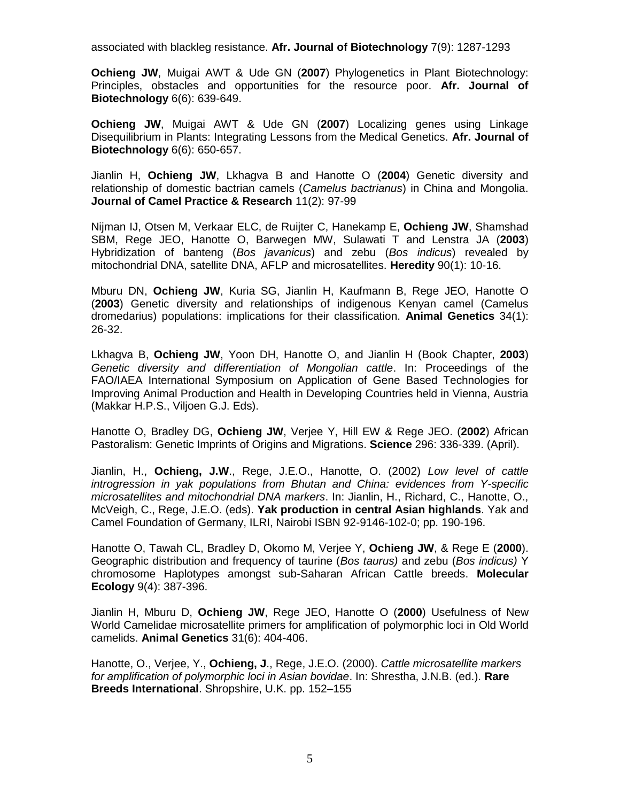associated with blackleg resistance. **Afr. Journal of Biotechnology** 7(9): 1287-1293

**Ochieng JW**, Muigai AWT & Ude GN (**2007**) Phylogenetics in Plant Biotechnology: Principles, obstacles and opportunities for the resource poor. **Afr. Journal of Biotechnology** 6(6): 639-649.

**Ochieng JW**, Muigai AWT & Ude GN (**2007**) Localizing genes using Linkage Disequilibrium in Plants: Integrating Lessons from the Medical Genetics. **Afr. Journal of Biotechnology** 6(6): 650-657.

Jianlin H, **Ochieng JW**, Lkhagva B and Hanotte O (**2004**) Genetic diversity and relationship of domestic bactrian camels (*Camelus bactrianus*) in China and Mongolia. **Journal of Camel Practice & Research** 11(2): 97-99

Nijman IJ, Otsen M, Verkaar ELC, de Ruijter C, Hanekamp E, **Ochieng JW**, Shamshad SBM, Rege JEO, Hanotte O, Barwegen MW, Sulawati T and Lenstra JA (**2003**) Hybridization of banteng (*Bos javanicus*) and zebu (*Bos indicus*) revealed by mitochondrial DNA, satellite DNA, AFLP and microsatellites. **Heredity** 90(1): 10-16.

Mburu DN, **Ochieng JW**, Kuria SG, Jianlin H, Kaufmann B, Rege JEO, Hanotte O (**2003**) Genetic diversity and relationships of indigenous Kenyan camel (Camelus dromedarius) populations: implications for their classification. **Animal Genetics** 34(1): 26-32.

Lkhagva B, **Ochieng JW**, Yoon DH, Hanotte O, and Jianlin H (Book Chapter, **2003**) *Genetic diversity and differentiation of Mongolian cattle*. In: Proceedings of the FAO/IAEA International Symposium on Application of Gene Based Technologies for Improving Animal Production and Health in Developing Countries held in Vienna, Austria (Makkar H.P.S., Viljoen G.J. Eds).

Hanotte O, Bradley DG, **Ochieng JW**, Verjee Y, Hill EW & Rege JEO. (**2002**) African Pastoralism: Genetic Imprints of Origins and Migrations. **Science** 296: 336-339. (April).

Jianlin, H., **Ochieng, J.W**., Rege, J.E.O., Hanotte, O. (2002) *Low level of cattle introgression in yak populations from Bhutan and China: evidences from Y-specific microsatellites and mitochondrial DNA markers*. In: Jianlin, H., Richard, C., Hanotte, O., McVeigh, C., Rege, J.E.O. (eds). **Yak production in central Asian highlands**. Yak and Camel Foundation of Germany, ILRI, Nairobi ISBN 92-9146-102-0; pp. 190-196.

Hanotte O, Tawah CL, Bradley D, Okomo M, Verjee Y, **Ochieng JW**, & Rege E (**2000**). Geographic distribution and frequency of taurine (*Bos taurus)* and zebu (*Bos indicus)* Y chromosome Haplotypes amongst sub-Saharan African Cattle breeds. **Molecular Ecology** 9(4): 387-396.

Jianlin H, Mburu D, **Ochieng JW**, Rege JEO, Hanotte O (**2000**) Usefulness of New World Camelidae microsatellite primers for amplification of polymorphic loci in Old World camelids. **Animal Genetics** 31(6): 404-406.

Hanotte, O., Verjee, Y., **Ochieng, J**., Rege, J.E.O. (2000). *Cattle microsatellite markers for amplification of polymorphic loci in Asian bovidae*. In: Shrestha, J.N.B. (ed.). **Rare Breeds International**. Shropshire, U.K. pp. 152–155